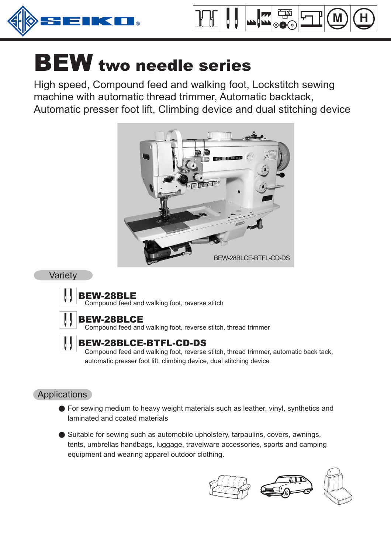



High speed, Compound feed and walking foot, Lockstitch sewing machine with automatic thread trimmer, Automatic backtack, Automatic presser foot lift, Climbing device and dual stitching device



#### Variety



## BEW-28BLE

Compound feed and walking foot, reverse stitch



## BEW-28BLCE

Compound feed and walking foot, reverse stitch, thread trimmer

## BEW-28BLCE-BTFL-CD-DS

Compound feed and walking foot, reverse stitch, thread trimmer, automatic back tack, automatic presser foot lift, climbing device, dual stitching device

## **Applications**

For sewing medium to heavy weight materials such as leather, vinyl, synthetics and laminated and coated materials

Suitable for sewing such as automobile upholstery, tarpaulins, covers, awnings, tents, umbrellas handbags, luggage, travelware accessories, sports and camping equipment and wearing apparel outdoor clothing.

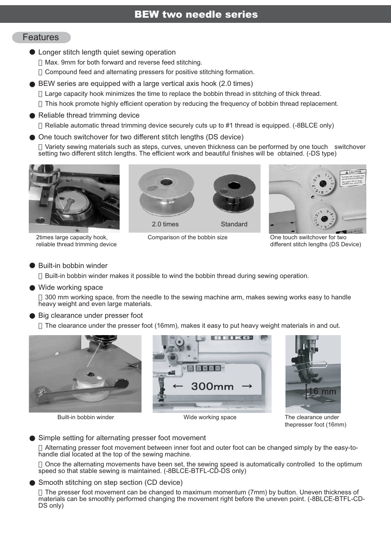#### Features

Longer stitch length quiet sewing operation

Max. 9mm for both forward and reverse feed stitching.

Compound feed and alternating pressers for positive stitching formation.

BEW series are equipped with a large vertical axis hook (2.0 times)

Large capacity hook minimizes the time to replace the bobbin thread in stitching of thick thread.

This hook promote highly efficient operation by reducing the frequency of bobbin thread replacement.

#### Reliable thread trimming device

Reliable automatic thread trimming device securely cuts up to #1 thread is equipped. (-8BLCE only)

One touch switchover for two different stitch lengths (DS device)

Variety sewing materials such as steps, curves, uneven thickness can be performed by one touch switchover setting two different stitch lengths. The efficient work and beautiful finishes will be obtained. (-DS type)



2times large capacity hook, reliable thread trimming device



Comparison of the bobbin size



One touch switchover for two different stitch lengths (DS Device)

#### Built-in bobbin winder

Built-in bobbin winder makes it possible to wind the bobbin thread during sewing operation.

#### Wide working space

300 mm working space, from the needle to the sewing machine arm, makes sewing works easy to handle heavy weight and even large materials.

#### Big clearance under presser foot

The clearance under the presser foot (16mm), makes it easy to put heavy weight materials in and out.



Built-in bobbin winder **Networking** Space The clearance under The clearance under





thepresser foot (16mm)

#### Simple setting for alternating presser foot movement

Alternating presser foot movement between inner foot and outer foot can be changed simply by the easy-tohandle dial located at the top of the sewing machine.

Once the alternating movements have been set, the sewing speed is automatically controlled to the optimum speed so that stable sewing is maintained. (-8BLCE-BTFL-CD-DS only)

#### Smooth stitching on step section (CD device)

The presser foot movement can be changed to maximum momentum (7mm) by button. Uneven thickness of materials can be smoothly performed changing the movement right before the uneven point. (-8BLCE-BTFL-CD-DS only)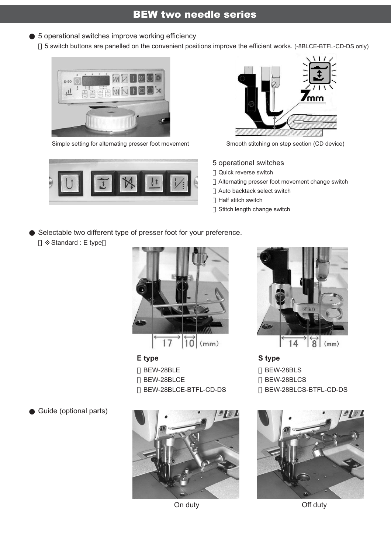### 5 operational switches improve working efficiency

5 switch buttons are panelled on the convenient positions improve the efficient works. (-8BLCE-BTFL-CD-DS only)



Simple setting for alternating presser foot movement Smooth stitching on step section (CD device)





5 operational switches

Quick reverse switch

Alternating presser foot movement change switch Auto backtack select switch Half stitch switch Stitch length change switch

Selectable two different type of presser foot for your preference.

Standard : E type



**E type** BEW-28BLE BEW-28BLCE BEW-28BLCE-BTFL-CD-DS





**S type** BEW-28BLS BEW-28BLCS BEW-28BLCS-BTFL-CD-DS



On duty Off duty

Guide (optional parts)